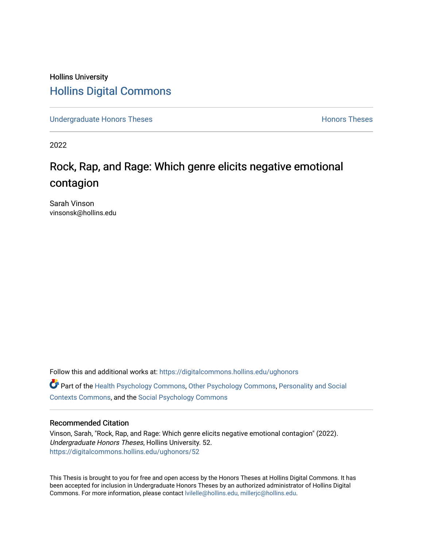# Hollins University [Hollins Digital Commons](https://digitalcommons.hollins.edu/)

[Undergraduate Honors Theses](https://digitalcommons.hollins.edu/ughonors) **Honors Theses** Honors Theses

2022

# Rock, Rap, and Rage: Which genre elicits negative emotional contagion

Sarah Vinson vinsonsk@hollins.edu

Follow this and additional works at: [https://digitalcommons.hollins.edu/ughonors](https://digitalcommons.hollins.edu/ughonors?utm_source=digitalcommons.hollins.edu%2Fughonors%2F52&utm_medium=PDF&utm_campaign=PDFCoverPages) Part of the [Health Psychology Commons](https://network.bepress.com/hgg/discipline/411?utm_source=digitalcommons.hollins.edu%2Fughonors%2F52&utm_medium=PDF&utm_campaign=PDFCoverPages), [Other Psychology Commons](https://network.bepress.com/hgg/discipline/415?utm_source=digitalcommons.hollins.edu%2Fughonors%2F52&utm_medium=PDF&utm_campaign=PDFCoverPages), [Personality and Social](https://network.bepress.com/hgg/discipline/413?utm_source=digitalcommons.hollins.edu%2Fughonors%2F52&utm_medium=PDF&utm_campaign=PDFCoverPages)  [Contexts Commons](https://network.bepress.com/hgg/discipline/413?utm_source=digitalcommons.hollins.edu%2Fughonors%2F52&utm_medium=PDF&utm_campaign=PDFCoverPages), and the [Social Psychology Commons](https://network.bepress.com/hgg/discipline/414?utm_source=digitalcommons.hollins.edu%2Fughonors%2F52&utm_medium=PDF&utm_campaign=PDFCoverPages) 

### Recommended Citation

Vinson, Sarah, "Rock, Rap, and Rage: Which genre elicits negative emotional contagion" (2022). Undergraduate Honors Theses, Hollins University. 52. [https://digitalcommons.hollins.edu/ughonors/52](https://digitalcommons.hollins.edu/ughonors/52?utm_source=digitalcommons.hollins.edu%2Fughonors%2F52&utm_medium=PDF&utm_campaign=PDFCoverPages) 

This Thesis is brought to you for free and open access by the Honors Theses at Hollins Digital Commons. It has been accepted for inclusion in Undergraduate Honors Theses by an authorized administrator of Hollins Digital Commons. For more information, please contact [lvilelle@hollins.edu, millerjc@hollins.edu.](mailto:lvilelle@hollins.edu,%20millerjc@hollins.edu)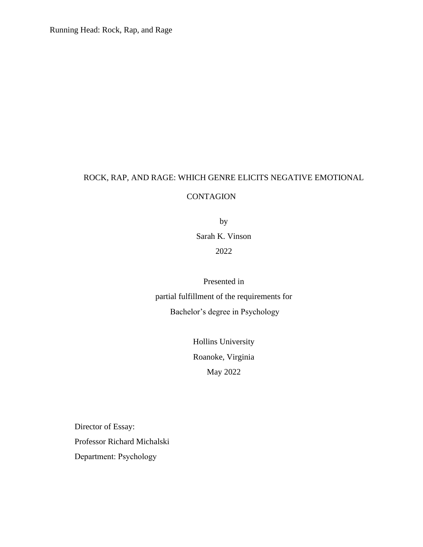Running Head: Rock, Rap, and Rage

# ROCK, RAP, AND RAGE: WHICH GENRE ELICITS NEGATIVE EMOTIONAL

## CONTAGION

by Sarah K. Vinson 2022

Presented in partial fulfillment of the requirements for Bachelor's degree in Psychology

> Hollins University Roanoke, Virginia May 2022

Director of Essay: Professor Richard Michalski Department: Psychology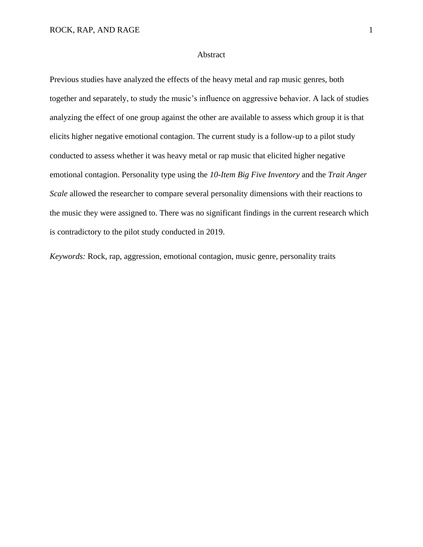#### Abstract

Previous studies have analyzed the effects of the heavy metal and rap music genres, both together and separately, to study the music's influence on aggressive behavior. A lack of studies analyzing the effect of one group against the other are available to assess which group it is that elicits higher negative emotional contagion. The current study is a follow-up to a pilot study conducted to assess whether it was heavy metal or rap music that elicited higher negative emotional contagion. Personality type using the *10-Item Big Five Inventory* and the *Trait Anger Scale* allowed the researcher to compare several personality dimensions with their reactions to the music they were assigned to. There was no significant findings in the current research which is contradictory to the pilot study conducted in 2019.

*Keywords:* Rock, rap, aggression, emotional contagion, music genre, personality traits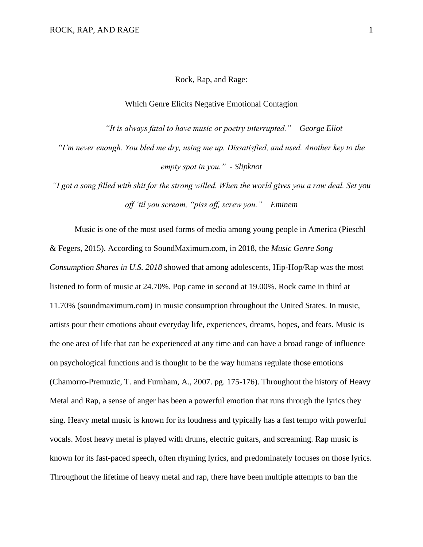#### Rock, Rap, and Rage:

#### Which Genre Elicits Negative Emotional Contagion

*"It is always fatal to have music or poetry interrupted." – George Eliot*

*"I'm never enough. You bled me dry, using me up. Dissatisfied, and used. Another key to the empty spot in you." - Slipknot*

*"I got a song filled with shit for the strong willed. When the world gives you a raw deal. Set you off 'til you scream, "piss off, screw you." – Eminem*

Music is one of the most used forms of media among young people in America (Pieschl & Fegers, 2015). According to SoundMaximum.com, in 2018, the *Music Genre Song Consumption Shares in U.S. 2018* showed that among adolescents, Hip-Hop/Rap was the most listened to form of music at 24.70%. Pop came in second at 19.00%. Rock came in third at 11.70% (soundmaximum.com) in music consumption throughout the United States. In music, artists pour their emotions about everyday life, experiences, dreams, hopes, and fears. Music is the one area of life that can be experienced at any time and can have a broad range of influence on psychological functions and is thought to be the way humans regulate those emotions (Chamorro-Premuzic, T. and Furnham, A., 2007. pg. 175-176). Throughout the history of Heavy Metal and Rap, a sense of anger has been a powerful emotion that runs through the lyrics they sing. Heavy metal music is known for its loudness and typically has a fast tempo with powerful vocals. Most heavy metal is played with drums, electric guitars, and screaming. Rap music is known for its fast-paced speech, often rhyming lyrics, and predominately focuses on those lyrics. Throughout the lifetime of heavy metal and rap, there have been multiple attempts to ban the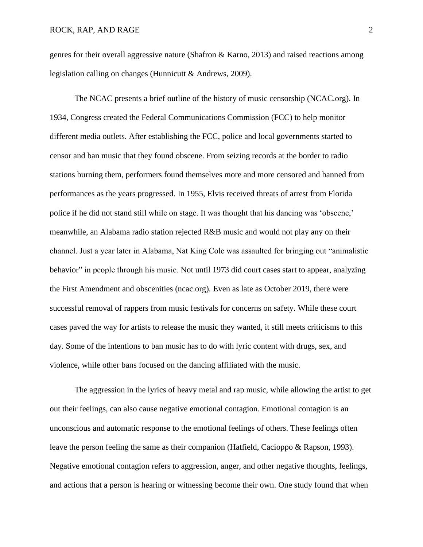genres for their overall aggressive nature (Shafron & Karno, 2013) and raised reactions among legislation calling on changes (Hunnicutt & Andrews, 2009).

The NCAC presents a brief outline of the history of music censorship (NCAC.org). In 1934, Congress created the Federal Communications Commission (FCC) to help monitor different media outlets. After establishing the FCC, police and local governments started to censor and ban music that they found obscene. From seizing records at the border to radio stations burning them, performers found themselves more and more censored and banned from performances as the years progressed. In 1955, Elvis received threats of arrest from Florida police if he did not stand still while on stage. It was thought that his dancing was 'obscene,' meanwhile, an Alabama radio station rejected R&B music and would not play any on their channel. Just a year later in Alabama, Nat King Cole was assaulted for bringing out "animalistic behavior" in people through his music. Not until 1973 did court cases start to appear, analyzing the First Amendment and obscenities (ncac.org). Even as late as October 2019, there were successful removal of rappers from music festivals for concerns on safety. While these court cases paved the way for artists to release the music they wanted, it still meets criticisms to this day. Some of the intentions to ban music has to do with lyric content with drugs, sex, and violence, while other bans focused on the dancing affiliated with the music.

The aggression in the lyrics of heavy metal and rap music, while allowing the artist to get out their feelings, can also cause negative emotional contagion. Emotional contagion is an unconscious and automatic response to the emotional feelings of others. These feelings often leave the person feeling the same as their companion (Hatfield, Cacioppo & Rapson, 1993). Negative emotional contagion refers to aggression, anger, and other negative thoughts, feelings, and actions that a person is hearing or witnessing become their own. One study found that when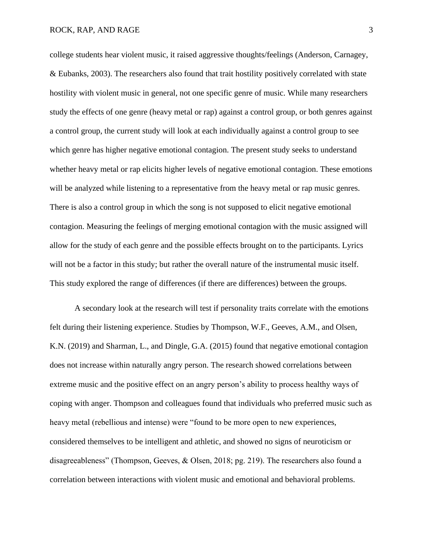#### ROCK, RAP, AND RAGE 3

college students hear violent music, it raised aggressive thoughts/feelings (Anderson, Carnagey, & Eubanks, 2003). The researchers also found that trait hostility positively correlated with state hostility with violent music in general, not one specific genre of music. While many researchers study the effects of one genre (heavy metal or rap) against a control group, or both genres against a control group, the current study will look at each individually against a control group to see which genre has higher negative emotional contagion. The present study seeks to understand whether heavy metal or rap elicits higher levels of negative emotional contagion. These emotions will be analyzed while listening to a representative from the heavy metal or rap music genres. There is also a control group in which the song is not supposed to elicit negative emotional contagion. Measuring the feelings of merging emotional contagion with the music assigned will allow for the study of each genre and the possible effects brought on to the participants. Lyrics will not be a factor in this study; but rather the overall nature of the instrumental music itself. This study explored the range of differences (if there are differences) between the groups.

A secondary look at the research will test if personality traits correlate with the emotions felt during their listening experience. Studies by Thompson, W.F., Geeves, A.M., and Olsen, K.N. (2019) and Sharman, L., and Dingle, G.A. (2015) found that negative emotional contagion does not increase within naturally angry person. The research showed correlations between extreme music and the positive effect on an angry person's ability to process healthy ways of coping with anger. Thompson and colleagues found that individuals who preferred music such as heavy metal (rebellious and intense) were "found to be more open to new experiences, considered themselves to be intelligent and athletic, and showed no signs of neuroticism or disagreeableness" (Thompson, Geeves, & Olsen, 2018; pg. 219). The researchers also found a correlation between interactions with violent music and emotional and behavioral problems.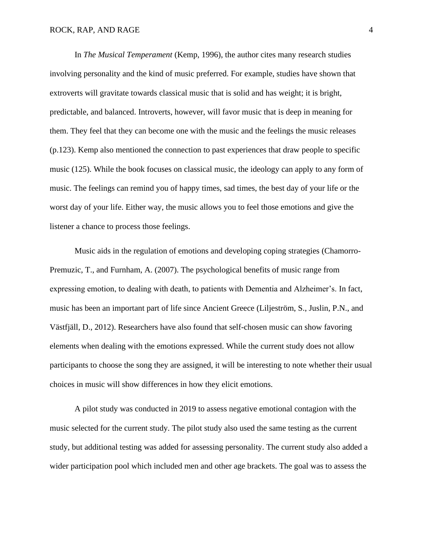#### ROCK, RAP, AND RAGE 4

In *The Musical Temperament* (Kemp, 1996), the author cites many research studies involving personality and the kind of music preferred. For example, studies have shown that extroverts will gravitate towards classical music that is solid and has weight; it is bright, predictable, and balanced. Introverts, however, will favor music that is deep in meaning for them. They feel that they can become one with the music and the feelings the music releases (p.123). Kemp also mentioned the connection to past experiences that draw people to specific music (125). While the book focuses on classical music, the ideology can apply to any form of music. The feelings can remind you of happy times, sad times, the best day of your life or the worst day of your life. Either way, the music allows you to feel those emotions and give the listener a chance to process those feelings.

Music aids in the regulation of emotions and developing coping strategies (Chamorro-Premuzic, T., and Furnham, A. (2007). The psychological benefits of music range from expressing emotion, to dealing with death, to patients with Dementia and Alzheimer's. In fact, music has been an important part of life since Ancient Greece (Liljeström, S., Juslin, P.N., and Västfjäll, D., 2012). Researchers have also found that self-chosen music can show favoring elements when dealing with the emotions expressed. While the current study does not allow participants to choose the song they are assigned, it will be interesting to note whether their usual choices in music will show differences in how they elicit emotions.

A pilot study was conducted in 2019 to assess negative emotional contagion with the music selected for the current study. The pilot study also used the same testing as the current study, but additional testing was added for assessing personality. The current study also added a wider participation pool which included men and other age brackets. The goal was to assess the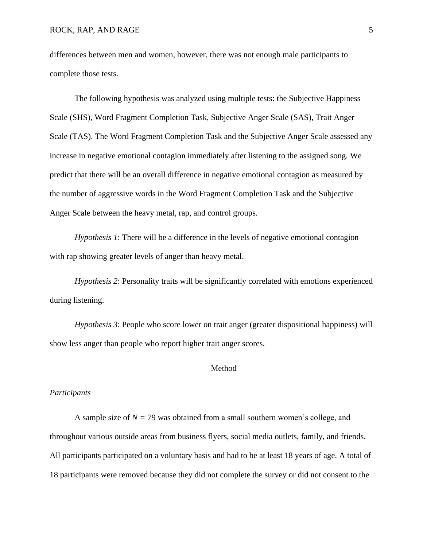differences between men and women, however, there was not enough male participants to complete those tests.

The following hypothesis was analyzed using multiple tests: the Subjective Happiness Scale (SHS), Word Fragment Completion Task, Subjective Anger Scale (SAS), Trait Anger Scale (TAS). The Word Fragment Completion Task and the Subjective Anger Scale assessed any increase in negative emotional contagion immediately after listening to the assigned song. We predict that there will be an overall difference in negative emotional contagion as measured by the number of aggressive words in the Word Fragment Completion Task and the Subjective Anger Scale between the heavy metal, rap, and control groups.

*Hypothesis 1*: There will be a difference in the levels of negative emotional contagion with rap showing greater levels of anger than heavy metal.

*Hypothesis 2*: Personality traits will be significantly correlated with emotions experienced during listening.

*Hypothesis 3*: People who score lower on trait anger (greater dispositional happiness) will show less anger than people who report higher trait anger scores.

#### Method

#### *Participants*

A sample size of  $N = 79$  was obtained from a small southern women's college, and throughout various outside areas from business flyers, social media outlets, family, and friends. All participants participated on a voluntary basis and had to be at least 18 years of age. A total of 18 participants were removed because they did not complete the survey or did not consent to the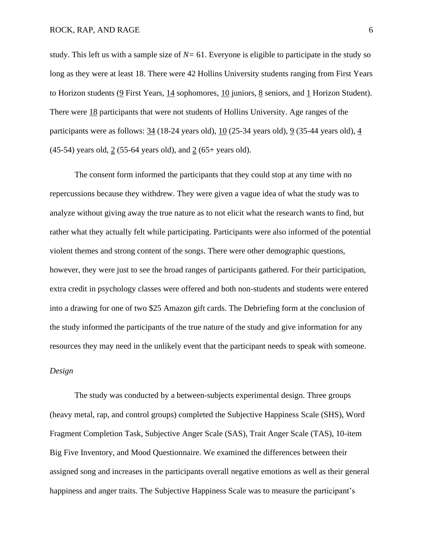study. This left us with a sample size of *N=* 61. Everyone is eligible to participate in the study so long as they were at least 18. There were 42 Hollins University students ranging from First Years to Horizon students (9 First Years, 14 sophomores, 10 juniors, 8 seniors, and 1 Horizon Student). There were 18 participants that were not students of Hollins University. Age ranges of the participants were as follows: 34 (18-24 years old), 10 (25-34 years old), 9 (35-44 years old), 4 (45-54) years old,  $2(55-64 \text{ years old})$ , and  $2(65+ \text{ years old})$ .

The consent form informed the participants that they could stop at any time with no repercussions because they withdrew. They were given a vague idea of what the study was to analyze without giving away the true nature as to not elicit what the research wants to find, but rather what they actually felt while participating. Participants were also informed of the potential violent themes and strong content of the songs. There were other demographic questions, however, they were just to see the broad ranges of participants gathered. For their participation, extra credit in psychology classes were offered and both non-students and students were entered into a drawing for one of two \$25 Amazon gift cards. The Debriefing form at the conclusion of the study informed the participants of the true nature of the study and give information for any resources they may need in the unlikely event that the participant needs to speak with someone.

## *Design*

The study was conducted by a between-subjects experimental design. Three groups (heavy metal, rap, and control groups) completed the Subjective Happiness Scale (SHS), Word Fragment Completion Task, Subjective Anger Scale (SAS), Trait Anger Scale (TAS), 10-item Big Five Inventory, and Mood Questionnaire. We examined the differences between their assigned song and increases in the participants overall negative emotions as well as their general happiness and anger traits. The Subjective Happiness Scale was to measure the participant's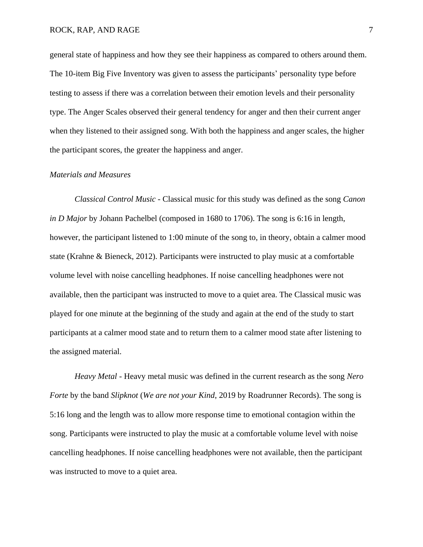general state of happiness and how they see their happiness as compared to others around them. The 10-item Big Five Inventory was given to assess the participants' personality type before testing to assess if there was a correlation between their emotion levels and their personality type. The Anger Scales observed their general tendency for anger and then their current anger when they listened to their assigned song. With both the happiness and anger scales, the higher the participant scores, the greater the happiness and anger.

#### *Materials and Measures*

*Classical Control Music* - Classical music for this study was defined as the song *Canon in D Major* by Johann Pachelbel (composed in 1680 to 1706). The song is 6:16 in length, however, the participant listened to 1:00 minute of the song to, in theory, obtain a calmer mood state (Krahne & Bieneck, 2012). Participants were instructed to play music at a comfortable volume level with noise cancelling headphones. If noise cancelling headphones were not available, then the participant was instructed to move to a quiet area. The Classical music was played for one minute at the beginning of the study and again at the end of the study to start participants at a calmer mood state and to return them to a calmer mood state after listening to the assigned material.

*Heavy Metal* - Heavy metal music was defined in the current research as the song *Nero Forte* by the band *Slipknot* (*We are not your Kind*, 2019 by Roadrunner Records). The song is 5:16 long and the length was to allow more response time to emotional contagion within the song. Participants were instructed to play the music at a comfortable volume level with noise cancelling headphones. If noise cancelling headphones were not available, then the participant was instructed to move to a quiet area.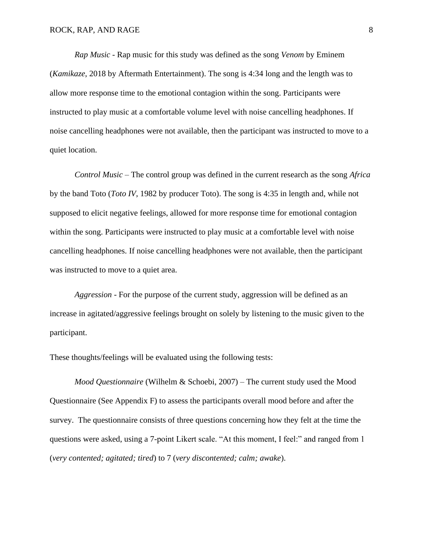*Rap Music* - Rap music for this study was defined as the song *Venom* by Eminem (*Kamikaze*, 2018 by Aftermath Entertainment). The song is 4:34 long and the length was to allow more response time to the emotional contagion within the song. Participants were instructed to play music at a comfortable volume level with noise cancelling headphones. If noise cancelling headphones were not available, then the participant was instructed to move to a quiet location.

*Control Music* – The control group was defined in the current research as the song *Africa* by the band Toto (*Toto IV*, 1982 by producer Toto). The song is 4:35 in length and, while not supposed to elicit negative feelings, allowed for more response time for emotional contagion within the song. Participants were instructed to play music at a comfortable level with noise cancelling headphones. If noise cancelling headphones were not available, then the participant was instructed to move to a quiet area.

*Aggression* - For the purpose of the current study, aggression will be defined as an increase in agitated/aggressive feelings brought on solely by listening to the music given to the participant.

These thoughts/feelings will be evaluated using the following tests:

*Mood Questionnaire* (Wilhelm & Schoebi, 2007) – The current study used the Mood Questionnaire (See Appendix F) to assess the participants overall mood before and after the survey. The questionnaire consists of three questions concerning how they felt at the time the questions were asked, using a 7-point Likert scale. "At this moment, I feel:" and ranged from 1 (*very contented; agitated; tired*) to 7 (*very discontented; calm; awake*).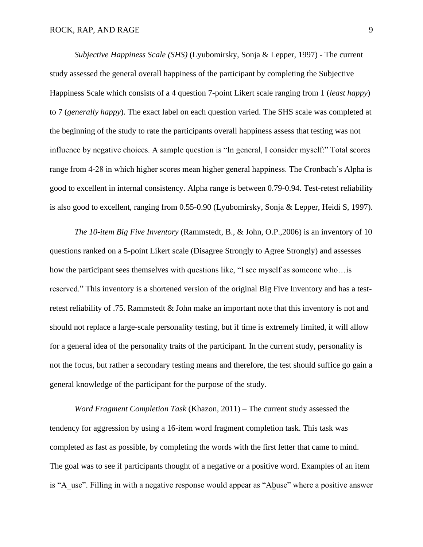*Subjective Happiness Scale (SHS)* (Lyubomirsky, Sonja & Lepper, 1997) - The current study assessed the general overall happiness of the participant by completing the Subjective Happiness Scale which consists of a 4 question 7-point Likert scale ranging from 1 (*least happy*) to 7 (*generally happy*). The exact label on each question varied. The SHS scale was completed at the beginning of the study to rate the participants overall happiness assess that testing was not influence by negative choices. A sample question is "In general, I consider myself:" Total scores range from 4-28 in which higher scores mean higher general happiness. The Cronbach's Alpha is good to excellent in internal consistency. Alpha range is between 0.79-0.94. Test-retest reliability is also good to excellent, ranging from 0.55-0.90 (Lyubomirsky, Sonja & Lepper, Heidi S, 1997).

*The 10-item Big Five Inventory* (Rammstedt, B., & John, O.P.,2006) is an inventory of 10 questions ranked on a 5-point Likert scale (Disagree Strongly to Agree Strongly) and assesses how the participant sees themselves with questions like, "I see myself as someone who…is reserved." This inventory is a shortened version of the original Big Five Inventory and has a testretest reliability of .75. Rammstedt & John make an important note that this inventory is not and should not replace a large-scale personality testing, but if time is extremely limited, it will allow for a general idea of the personality traits of the participant. In the current study, personality is not the focus, but rather a secondary testing means and therefore, the test should suffice go gain a general knowledge of the participant for the purpose of the study.

*Word Fragment Completion Task* (Khazon, 2011) – The current study assessed the tendency for aggression by using a 16-item word fragment completion task. This task was completed as fast as possible, by completing the words with the first letter that came to mind. The goal was to see if participants thought of a negative or a positive word. Examples of an item is "A\_use". Filling in with a negative response would appear as "Abuse" where a positive answer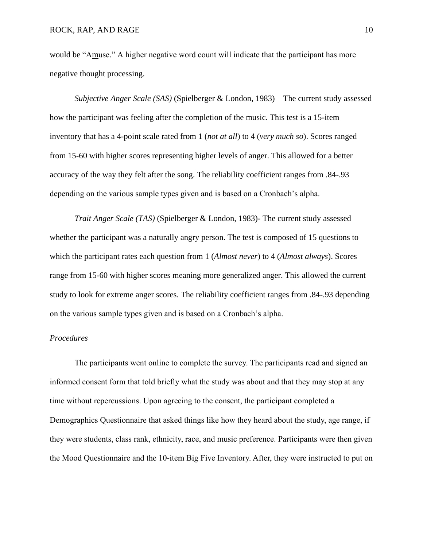would be "Amuse." A higher negative word count will indicate that the participant has more negative thought processing.

*Subjective Anger Scale (SAS)* (Spielberger & London, 1983) – The current study assessed how the participant was feeling after the completion of the music. This test is a 15-item inventory that has a 4-point scale rated from 1 (*not at all*) to 4 (*very much so*). Scores ranged from 15-60 with higher scores representing higher levels of anger. This allowed for a better accuracy of the way they felt after the song. The reliability coefficient ranges from .84-.93 depending on the various sample types given and is based on a Cronbach's alpha.

*Trait Anger Scale (TAS)* (Spielberger & London, 1983)*-* The current study assessed whether the participant was a naturally angry person. The test is composed of 15 questions to which the participant rates each question from 1 (*Almost never*) to 4 (*Almost always*). Scores range from 15-60 with higher scores meaning more generalized anger. This allowed the current study to look for extreme anger scores. The reliability coefficient ranges from .84-.93 depending on the various sample types given and is based on a Cronbach's alpha.

#### *Procedures*

The participants went online to complete the survey. The participants read and signed an informed consent form that told briefly what the study was about and that they may stop at any time without repercussions. Upon agreeing to the consent, the participant completed a Demographics Questionnaire that asked things like how they heard about the study, age range, if they were students, class rank, ethnicity, race, and music preference. Participants were then given the Mood Questionnaire and the 10-item Big Five Inventory. After, they were instructed to put on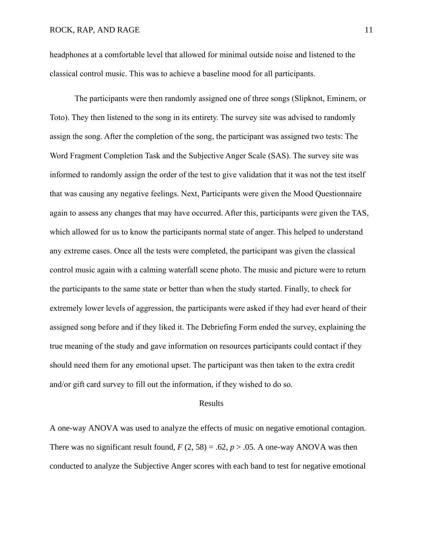headphones at a comfortable level that allowed for minimal outside noise and listened to the classical control music. This was to achieve a baseline mood for all participants.

The participants were then randomly assigned one of three songs (Slipknot, Eminem, or Toto). They then listened to the song in its entirety. The survey site was advised to randomly assign the song. After the completion of the song, the participant was assigned two tests: The Word Fragment Completion Task and the Subjective Anger Scale (SAS). The survey site was informed to randomly assign the order of the test to give validation that it was not the test itself that was causing any negative feelings. Next, Participants were given the Mood Questionnaire again to assess any changes that may have occurred. After this, participants were given the TAS, which allowed for us to know the participants normal state of anger. This helped to understand any extreme cases. Once all the tests were completed, the participant was given the classical control music again with a calming waterfall scene photo. The music and picture were to return the participants to the same state or better than when the study started. Finally, to check for extremely lower levels of aggression, the participants were asked if they had ever heard of their assigned song before and if they liked it. The Debriefing Form ended the survey, explaining the true meaning of the study and gave information on resources participants could contact if they should need them for any emotional upset. The participant was then taken to the extra credit and/or gift card survey to fill out the information, if they wished to do so.

#### Results

A one-way ANOVA was used to analyze the effects of music on negative emotional contagion. There was no significant result found,  $F(2, 58) = .62$ ,  $p > .05$ . A one-way ANOVA was then conducted to analyze the Subjective Anger scores with each band to test for negative emotional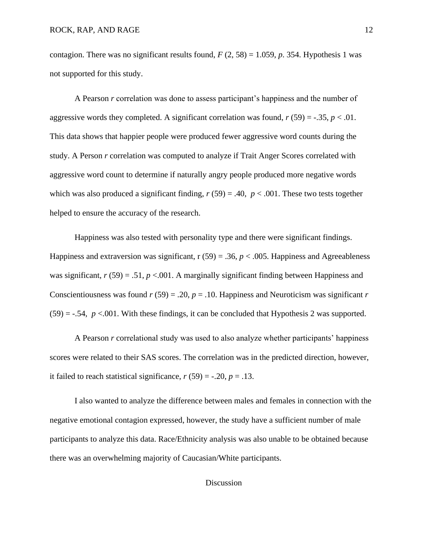contagion. There was no significant results found,  $F(2, 58) = 1.059$ ,  $p. 354$ . Hypothesis 1 was not supported for this study.

A Pearson *r* correlation was done to assess participant's happiness and the number of aggressive words they completed. A significant correlation was found,  $r(59) = -.35$ ,  $p < .01$ . This data shows that happier people were produced fewer aggressive word counts during the study. A Person *r* correlation was computed to analyze if Trait Anger Scores correlated with aggressive word count to determine if naturally angry people produced more negative words which was also produced a significant finding,  $r(59) = .40$ ,  $p < .001$ . These two tests together helped to ensure the accuracy of the research.

Happiness was also tested with personality type and there were significant findings. Happiness and extraversion was significant,  $r(59) = .36$ ,  $p < .005$ . Happiness and Agreeableness was significant,  $r(59) = .51$ ,  $p < .001$ . A marginally significant finding between Happiness and Conscientiousness was found  $r(59) = .20$ ,  $p = .10$ . Happiness and Neuroticism was significant  $r$  $(59) = -.54$ ,  $p < .001$ . With these findings, it can be concluded that Hypothesis 2 was supported.

A Pearson *r* correlational study was used to also analyze whether participants' happiness scores were related to their SAS scores. The correlation was in the predicted direction, however, it failed to reach statistical significance,  $r(59) = -.20$ ,  $p = .13$ .

I also wanted to analyze the difference between males and females in connection with the negative emotional contagion expressed, however, the study have a sufficient number of male participants to analyze this data. Race/Ethnicity analysis was also unable to be obtained because there was an overwhelming majority of Caucasian/White participants.

## Discussion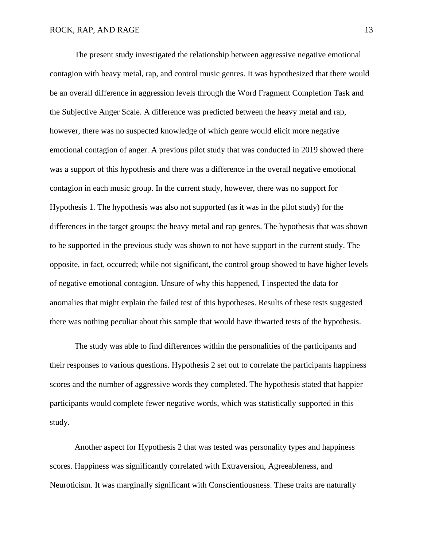The present study investigated the relationship between aggressive negative emotional contagion with heavy metal, rap, and control music genres. It was hypothesized that there would be an overall difference in aggression levels through the Word Fragment Completion Task and the Subjective Anger Scale. A difference was predicted between the heavy metal and rap, however, there was no suspected knowledge of which genre would elicit more negative emotional contagion of anger. A previous pilot study that was conducted in 2019 showed there was a support of this hypothesis and there was a difference in the overall negative emotional contagion in each music group. In the current study, however, there was no support for Hypothesis 1. The hypothesis was also not supported (as it was in the pilot study) for the differences in the target groups; the heavy metal and rap genres. The hypothesis that was shown to be supported in the previous study was shown to not have support in the current study. The opposite, in fact, occurred; while not significant, the control group showed to have higher levels of negative emotional contagion. Unsure of why this happened, I inspected the data for anomalies that might explain the failed test of this hypotheses. Results of these tests suggested there was nothing peculiar about this sample that would have thwarted tests of the hypothesis.

The study was able to find differences within the personalities of the participants and their responses to various questions. Hypothesis 2 set out to correlate the participants happiness scores and the number of aggressive words they completed. The hypothesis stated that happier participants would complete fewer negative words, which was statistically supported in this study.

Another aspect for Hypothesis 2 that was tested was personality types and happiness scores. Happiness was significantly correlated with Extraversion, Agreeableness, and Neuroticism. It was marginally significant with Conscientiousness. These traits are naturally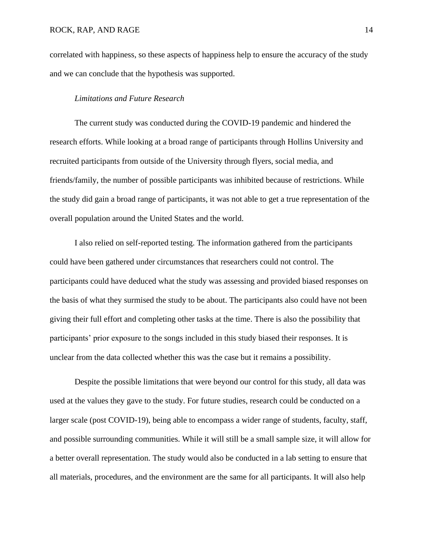correlated with happiness, so these aspects of happiness help to ensure the accuracy of the study and we can conclude that the hypothesis was supported.

#### *Limitations and Future Research*

The current study was conducted during the COVID-19 pandemic and hindered the research efforts. While looking at a broad range of participants through Hollins University and recruited participants from outside of the University through flyers, social media, and friends/family, the number of possible participants was inhibited because of restrictions. While the study did gain a broad range of participants, it was not able to get a true representation of the overall population around the United States and the world.

I also relied on self-reported testing. The information gathered from the participants could have been gathered under circumstances that researchers could not control. The participants could have deduced what the study was assessing and provided biased responses on the basis of what they surmised the study to be about. The participants also could have not been giving their full effort and completing other tasks at the time. There is also the possibility that participants' prior exposure to the songs included in this study biased their responses. It is unclear from the data collected whether this was the case but it remains a possibility.

Despite the possible limitations that were beyond our control for this study, all data was used at the values they gave to the study. For future studies, research could be conducted on a larger scale (post COVID-19), being able to encompass a wider range of students, faculty, staff, and possible surrounding communities. While it will still be a small sample size, it will allow for a better overall representation. The study would also be conducted in a lab setting to ensure that all materials, procedures, and the environment are the same for all participants. It will also help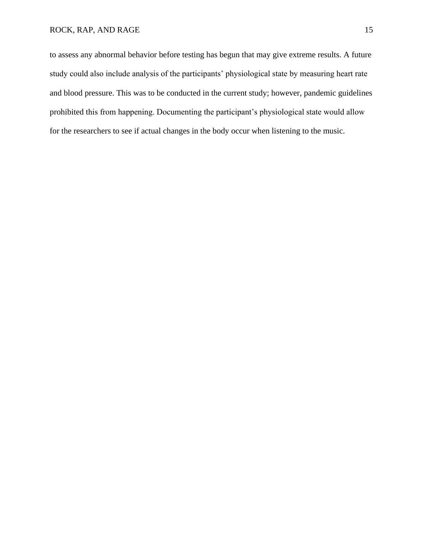## ROCK, RAP, AND RAGE 15

to assess any abnormal behavior before testing has begun that may give extreme results. A future study could also include analysis of the participants' physiological state by measuring heart rate and blood pressure. This was to be conducted in the current study; however, pandemic guidelines prohibited this from happening. Documenting the participant's physiological state would allow for the researchers to see if actual changes in the body occur when listening to the music.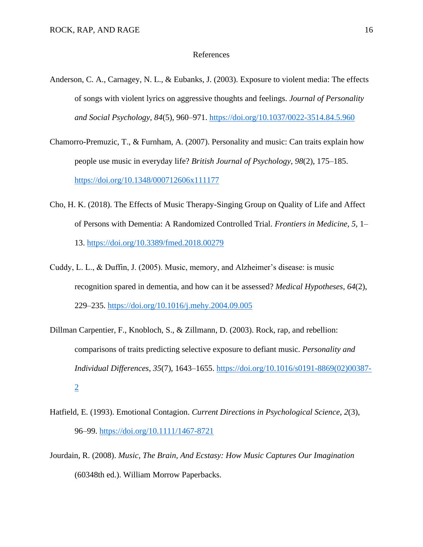#### References

- Anderson, C. A., Carnagey, N. L., & Eubanks, J. (2003). Exposure to violent media: The effects of songs with violent lyrics on aggressive thoughts and feelings. *Journal of Personality and Social Psychology*, *84*(5), 960–971.<https://doi.org/10.1037/0022-3514.84.5.960>
- Chamorro-Premuzic, T., & Furnham, A. (2007). Personality and music: Can traits explain how people use music in everyday life? *British Journal of Psychology*, *98*(2), 175–185. <https://doi.org/10.1348/000712606x111177>
- Cho, H. K. (2018). The Effects of Music Therapy-Singing Group on Quality of Life and Affect of Persons with Dementia: A Randomized Controlled Trial. *Frontiers in Medicine*, *5*, 1– 13.<https://doi.org/10.3389/fmed.2018.00279>
- Cuddy, L. L., & Duffin, J. (2005). Music, memory, and Alzheimer's disease: is music recognition spared in dementia, and how can it be assessed? *Medical Hypotheses*, *64*(2), 229–235.<https://doi.org/10.1016/j.mehy.2004.09.005>
- Dillman Carpentier, F., Knobloch, S., & Zillmann, D. (2003). Rock, rap, and rebellion: comparisons of traits predicting selective exposure to defiant music. *Personality and Individual Differences*, *35*(7), 1643–1655. [https://doi.org/10.1016/s0191-8869\(02\)00387-](https://doi.org/10.1016/s0191-8869(02)00387-2) [2](https://doi.org/10.1016/s0191-8869(02)00387-2)
- Hatfield, E. (1993). Emotional Contagion. *Current Directions in Psychological Science*, *2*(3), 96–99.<https://doi.org/10.1111/1467-8721>
- Jourdain, R. (2008). *Music, The Brain, And Ecstasy: How Music Captures Our Imagination* (60348th ed.). William Morrow Paperbacks.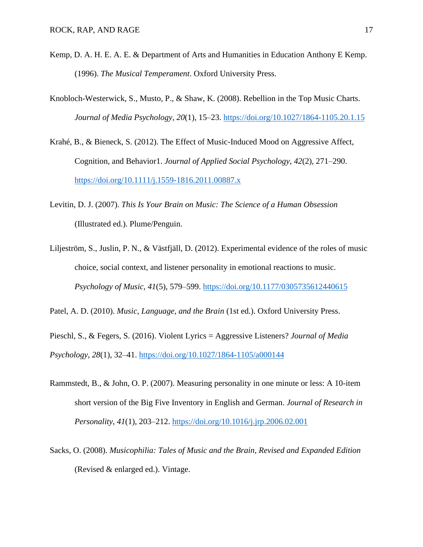- Kemp, D. A. H. E. A. E. & Department of Arts and Humanities in Education Anthony E Kemp. (1996). *The Musical Temperament*. Oxford University Press.
- Knobloch-Westerwick, S., Musto, P., & Shaw, K. (2008). Rebellion in the Top Music Charts. *Journal of Media Psychology*, *20*(1), 15–23.<https://doi.org/10.1027/1864-1105.20.1.15>
- Krahé, B., & Bieneck, S. (2012). The Effect of Music-Induced Mood on Aggressive Affect, Cognition, and Behavior1. *Journal of Applied Social Psychology*, *42*(2), 271–290. <https://doi.org/10.1111/j.1559-1816.2011.00887.x>
- Levitin, D. J. (2007). *This Is Your Brain on Music: The Science of a Human Obsession* (Illustrated ed.). Plume/Penguin.
- Liljeström, S., Juslin, P. N., & Västfjäll, D. (2012). Experimental evidence of the roles of music choice, social context, and listener personality in emotional reactions to music. *Psychology of Music*, *41*(5), 579–599.<https://doi.org/10.1177/0305735612440615>

Patel, A. D. (2010). *Music, Language, and the Brain* (1st ed.). Oxford University Press.

Pieschl, S., & Fegers, S. (2016). Violent Lyrics = Aggressive Listeners? *Journal of Media Psychology*, *28*(1), 32–41.<https://doi.org/10.1027/1864-1105/a000144>

- Rammstedt, B., & John, O. P. (2007). Measuring personality in one minute or less: A 10-item short version of the Big Five Inventory in English and German. *Journal of Research in Personality*, *41*(1), 203–212.<https://doi.org/10.1016/j.jrp.2006.02.001>
- Sacks, O. (2008). *Musicophilia: Tales of Music and the Brain, Revised and Expanded Edition* (Revised & enlarged ed.). Vintage.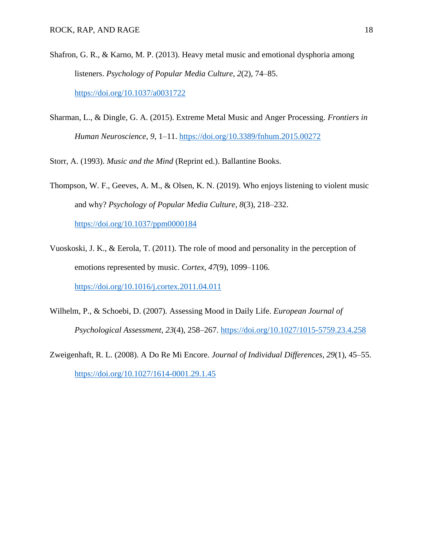- Shafron, G. R., & Karno, M. P. (2013). Heavy metal music and emotional dysphoria among listeners. *Psychology of Popular Media Culture*, *2*(2), 74–85. <https://doi.org/10.1037/a0031722>
- Sharman, L., & Dingle, G. A. (2015). Extreme Metal Music and Anger Processing. *Frontiers in Human Neuroscience*, *9*, 1–11.<https://doi.org/10.3389/fnhum.2015.00272>

Storr, A. (1993). *Music and the Mind* (Reprint ed.). Ballantine Books.

- Thompson, W. F., Geeves, A. M., & Olsen, K. N. (2019). Who enjoys listening to violent music and why? *Psychology of Popular Media Culture*, *8*(3), 218–232. <https://doi.org/10.1037/ppm0000184>
- Vuoskoski, J. K., & Eerola, T. (2011). The role of mood and personality in the perception of emotions represented by music. *Cortex*, *47*(9), 1099–1106. <https://doi.org/10.1016/j.cortex.2011.04.011>
- Wilhelm, P., & Schoebi, D. (2007). Assessing Mood in Daily Life. *European Journal of Psychological Assessment*, *23*(4), 258–267.<https://doi.org/10.1027/1015-5759.23.4.258>
- Zweigenhaft, R. L. (2008). A Do Re Mi Encore. *Journal of Individual Differences*, *29*(1), 45–55. <https://doi.org/10.1027/1614-0001.29.1.45>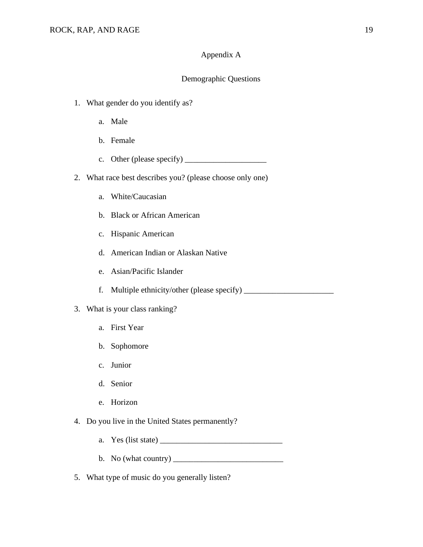## Appendix A

## Demographic Questions

- 1. What gender do you identify as?
	- a. Male
	- b. Female
	- c. Other (please specify)  $\frac{1}{\sqrt{2\pi}}$
- 2. What race best describes you? (please choose only one)
	- a. White/Caucasian
	- b. Black or African American
	- c. Hispanic American
	- d. American Indian or Alaskan Native
	- e. Asian/Pacific Islander
	- f. Multiple ethnicity/other (please specify) \_\_\_\_\_\_\_\_\_\_\_\_\_\_\_\_\_\_\_\_\_\_\_\_\_\_\_\_\_\_\_\_\_\_\_
- 3. What is your class ranking?
	- a. First Year
	- b. Sophomore
	- c. Junior
	- d. Senior
	- e. Horizon
- 4. Do you live in the United States permanently?
	- a. Yes (list state) \_\_\_\_\_\_\_\_\_\_\_\_\_\_\_\_\_\_\_\_\_\_\_\_\_\_\_\_\_\_
	- b. No (what country)  $\frac{1}{\sqrt{1-\frac{1}{n}}}$
- 5. What type of music do you generally listen?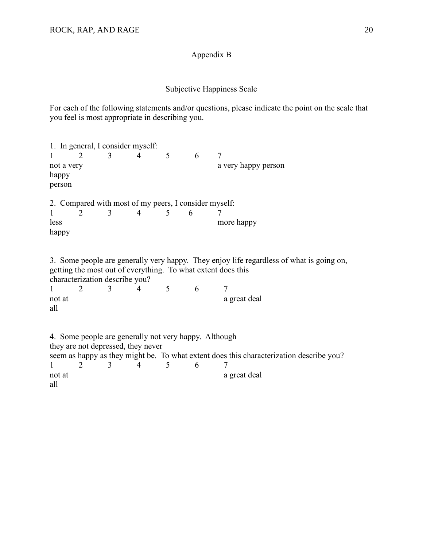## Appendix B

## Subjective Happiness Scale

For each of the following statements and/or questions, please indicate the point on the scale that you feel is most appropriate in describing you.

1. In general, I consider myself: 1 2 3 4 5 6 7 not a very happy person a very happy person happy person 2. Compared with most of my peers, I consider myself: 1 2 3 4 5 6 7 less more happy happy 3. Some people are generally very happy. They enjoy life regardless of what is going on, getting the most out of everything. To what extent does this characterization describe you? 1 2 3 4 5 6 7 not at a great deal a great deal all 4. Some people are generally not very happy. Although they are not depressed, they never seem as happy as they might be. To what extent does this characterization describe you?<br> $\frac{1}{2}$   $\frac{2}{3}$   $\frac{3}{4}$   $\frac{4}{5}$   $\frac{6}{7}$ 1 2 3 4 5 6 7 not at a great deal a great deal all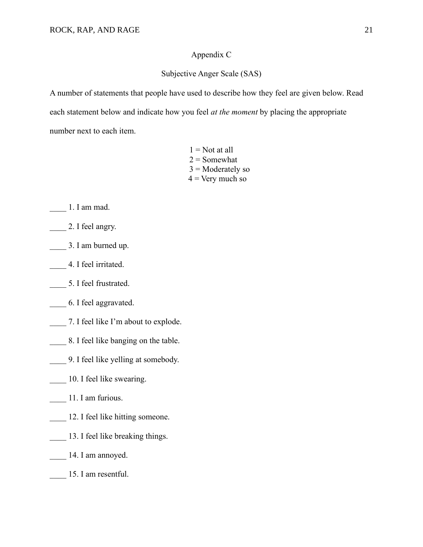## Appendix C

## Subjective Anger Scale (SAS)

A number of statements that people have used to describe how they feel are given below. Read each statement below and indicate how you feel *at the moment* by placing the appropriate number next to each item.

> $1 = Not$  at all  $2 =$  Somewhat  $3$  = Moderately so  $4 =$  Very much so

- \_\_\_\_ 1. I am mad.
- 2. I feel angry.
- \_\_\_\_ 3. I am burned up.
- \_\_\_\_ 4. I feel irritated.
- \_\_\_\_ 5. I feel frustrated.
- \_\_\_\_ 6. I feel aggravated.
- 7. I feel like I'm about to explode.
- 18. I feel like banging on the table.
- \_\_\_\_ 9. I feel like yelling at somebody.
- 10. I feel like swearing.
- \_\_\_\_ 11. I am furious.
- 12. I feel like hitting someone.
- 13. I feel like breaking things.
- \_\_\_\_ 14. I am annoyed.
- 15. I am resentful.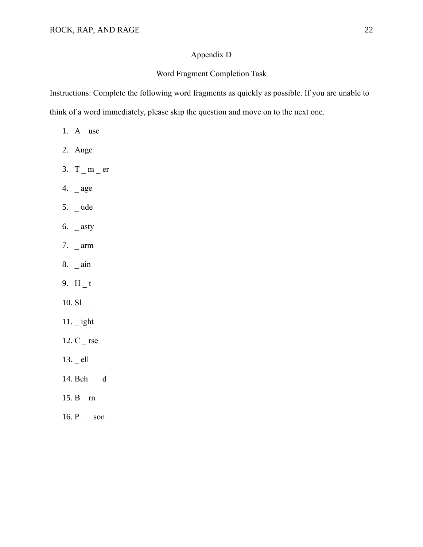## Appendix D

# Word Fragment Completion Task

Instructions: Complete the following word fragments as quickly as possible. If you are unable to think of a word immediately, please skip the question and move on to the next one.

- 1.  $A_$ use
- 2. Ange \_
- 3.  $T_m$  = er
- 4. \_ age
- 5. \_ ude
- 6.  $_{\text{a}}$  asty
- 7. \_ arm
- 8. \_ ain
- 9.  $H_t$
- 10.  $SI_{--}$
- 11. \_ ight
- 12. C \_ rse
- 13. ell
- 14. Beh  $\overline{\phantom{a}}$  d
- 15. B \_ rn
- 16.  $P_{\text{max}}$  son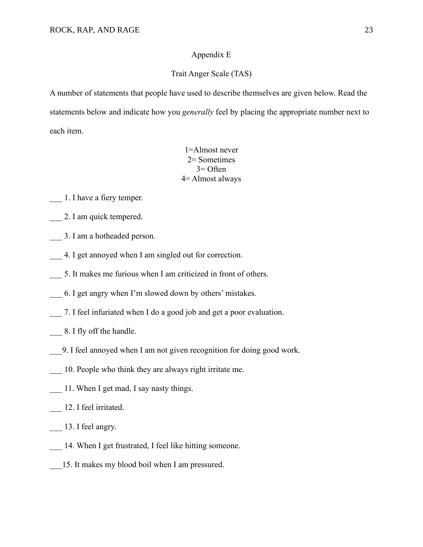#### Appendix E

## Trait Anger Scale (TAS)

A number of statements that people have used to describe themselves are given below. Read the statements below and indicate how you *generally* feel by placing the appropriate number next to each item.

> 1=Almost never 2= Sometimes 3= Often 4= Almost always

\_\_\_ 1. I have a fiery temper.

2. I am quick tempered.

- \_\_\_ 3. I am a hotheaded person.
- 4. I get annoyed when I am singled out for correction.
- 5. It makes me furious when I am criticized in front of others.
- \_\_\_ 6. I get angry when I'm slowed down by others' mistakes.
- 7. I feel infuriated when I do a good job and get a poor evaluation.
- \_\_\_ 8. I fly off the handle.
- \_\_\_9. I feel annoyed when I am not given recognition for doing good work.
- \_\_\_ 10. People who think they are always right irritate me.
- 11. When I get mad, I say nasty things.
- \_\_\_ 12. I feel irritated.
- 13. I feel angry.
- 14. When I get frustrated, I feel like hitting someone.
- 15. It makes my blood boil when I am pressured.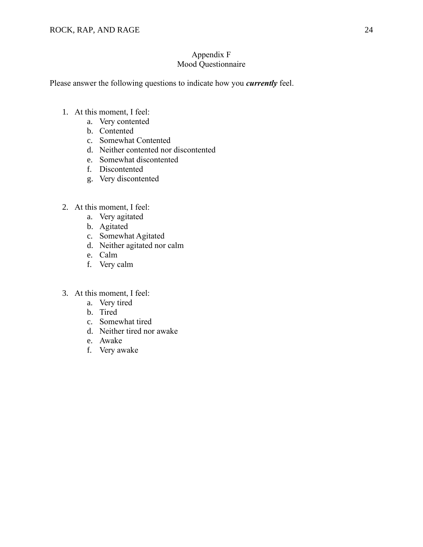## Appendix F Mood Questionnaire

Please answer the following questions to indicate how you *currently* feel.

- 1. At this moment, I feel:
	- a. Very contented
	- b. Contented
	- c. Somewhat Contented
	- d. Neither contented nor discontented
	- e. Somewhat discontented
	- f. Discontented
	- g. Very discontented
- 2. At this moment, I feel:
	- a. Very agitated
	- b. Agitated
	- c. Somewhat Agitated
	- d. Neither agitated nor calm
	- e. Calm
	- f. Very calm
- 3. At this moment, I feel:
	- a. Very tired
	- b. Tired
	- c. Somewhat tired
	- d. Neither tired nor awake
	- e. Awake
	- f. Very awake